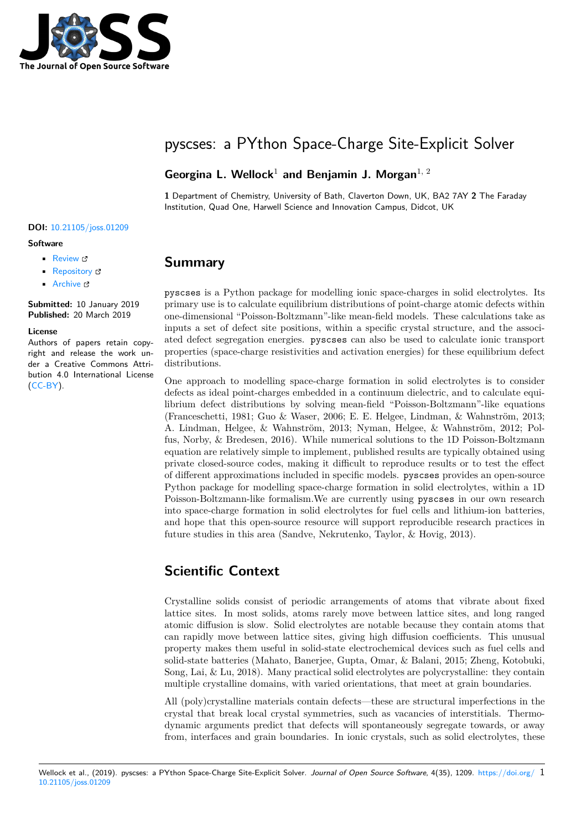

# pyscses: a PYthon Space-Charge Site-Explicit Solver

#### **Georgina L. Wellock**<sup>1</sup> **and Benjamin J. Morgan**1, 2

**1** Department of Chemistry, University of Bath, Claverton Down, UK, BA2 7AY **2** The Faraday Institution, Quad One, Harwell Science and Innovation Campus, Didcot, UK

#### **DOI:** 10.21105/joss.01209

#### **Software**

- Review C
- [Repository](https://doi.org/10.21105/joss.01209)  $C$
- Archive

**Subm[itted:](https://github.com/openjournals/joss-reviews/issues/1209)** 10 January 2019 **Published:** [20 M](https://github.com/bjmorgan/pyscses)arch 2019

#### **Licen[se](https://doi.org/10.5281/zenodo.2599955)**

Authors of papers retain copyright and release the work under a Creative Commons Attribution 4.0 International License (CC-BY).

### **Summary**

pyscses is a Python package for modelling ionic space-charges in solid electrolytes. Its primary use is to calculate equilibrium distributions of point-charge atomic defects within one-dimensional "Poisson-Boltzmann"-like mean-field models. These calculations take as inputs a set of defect site positions, within a specific crystal structure, and the associated defect segregation energies. pyscses can also be used to calculate ionic transport properties (space-charge resistivities and activation energies) for these equilibrium defect distributions.

One approach to modelling space-charge formation in solid electrolytes is to consider defects as ideal point-charges embedded in a continuum dielectric, and to calculate equilibrium defect distributions by solving mean-field "Poisson-Boltzmann"-like equations (Franceschetti, 1981; Guo & Waser, 2006; E. E. Helgee, Lindman, & Wahnström, 2013; A. Lindman, Helgee, & Wahnström, 2013; Nyman, Helgee, & Wahnström, 2012; Polfus, Norby, & Bredesen, 2016). While numerical solutions to the 1D Poisson-Boltzmann equation are relatively simple to implement, published results are typically obtained using private closed-source codes, making it difficult to reproduce results or to test the effect of different approximations included in specific models. pyscses provides an open-source Python package for modelling space-charge formation in solid electrolytes, within a 1D Poisson-Boltzmann-like formalism.We are currently using pyscses in our own research into space-charge formation in solid electrolytes for fuel cells and lithium-ion batteries, and hope that this open-source resource will support reproducible research practices in future studies in this area (Sandve, Nekrutenko, Taylor, & Hovig, 2013).

## **Scientific Context**

Crystalline solids consist of periodic arrangements of atoms that vibrate about fixed lattice sites. In most solids, atoms rarely move between lattice sites, and long ranged atomic diffusion is slow. Solid electrolytes are notable because they contain atoms that can rapidly move between lattice sites, giving high diffusion coefficients. This unusual property makes them useful in solid-state electrochemical devices such as fuel cells and solid-state batteries (Mahato, Banerjee, Gupta, Omar, & Balani, 2015; Zheng, Kotobuki, Song, Lai, & Lu, 2018). Many practical solid electrolytes are polycrystalline: they contain multiple crystalline domains, with varied orientations, that meet at grain boundaries.

All (poly)crystalline materials contain defects—these are structural imperfections in the crystal that break local crystal symmetries, such as vacancies of interstitials. Thermodynamic arguments predict that defects will spontaneously segregate towards, or away from, interfaces and grain boundaries. In ionic crystals, such as solid electrolytes, these

#### Wellock et al., (2019). pyscses: a PYthon Space-Charge Site-Explicit Solver. *Journal of Open Source Software*, 4(35), 1209. https://doi.org/ 110.21105/joss.01209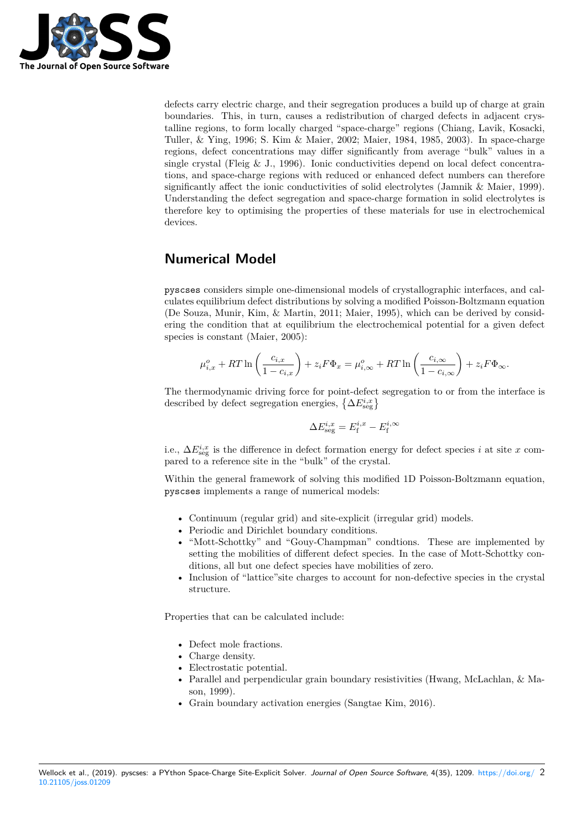

defects carry electric charge, and their segregation produces a build up of charge at grain boundaries. This, in turn, causes a redistribution of charged defects in adjacent crystalline regions, to form locally charged "space-charge" regions (Chiang, Lavik, Kosacki, Tuller, & Ying, 1996; S. Kim & Maier, 2002; Maier, 1984, 1985, 2003). In space-charge regions, defect concentrations may differ significantly from average "bulk" values in a single crystal (Fleig & J., 1996). Ionic conductivities depend on local defect concentrations, and space-charge regions with reduced or enhanced defect numbers can therefore significantly affect the ionic conductivities of solid electrolytes (Jamnik & Maier, 1999). Understanding the defect segregation and space-charge formation in solid electrolytes is therefore key to optimising the properties of these materials for use in electrochemical devices.

# **Numerical Model**

pyscses considers simple one-dimensional models of crystallographic interfaces, and calculates equilibrium defect distributions by solving a modified Poisson-Boltzmann equation (De Souza, Munir, Kim, & Martin, 2011; Maier, 1995), which can be derived by considering the condition that at equilibrium the electrochemical potential for a given defect species is constant (Maier, 2005):

$$
\mu_{i,x}^o + RT \ln \left( \frac{c_{i,x}}{1 - c_{i,x}} \right) + z_i F \Phi_x = \mu_{i,\infty}^o + RT \ln \left( \frac{c_{i,\infty}}{1 - c_{i,\infty}} \right) + z_i F \Phi_\infty.
$$

The thermodynamic driving force for point-defect segregation to or from the interface is described by defect segregation energies,  $\left\{\Delta E_{\text{seg}}^{i,x}\right\}$ 

$$
\Delta E_{\text{seg}}^{i,x} = E_{\text{f}}^{i,x} - E_{\text{f}}^{i,\infty}
$$

i.e.,  $\Delta E_{\text{seg}}^{i,x}$  is the difference in defect formation energy for defect species *i* at site *x* compared to a reference site in the "bulk" of the crystal.

Within the general framework of solving this modified 1D Poisson-Boltzmann equation, pyscses implements a range of numerical models:

- Continuum (regular grid) and site-explicit (irregular grid) models.
- Periodic and Dirichlet boundary conditions.
- "Mott-Schottky" and "Gouy-Champman" condtions. These are implemented by setting the mobilities of different defect species. In the case of Mott-Schottky conditions, all but one defect species have mobilities of zero.
- Inclusion of "lattice" site charges to account for non-defective species in the crystal structure.

Properties that can be calculated include:

- Defect mole fractions.
- Charge density.
- Electrostatic potential.
- Parallel and perpendicular grain boundary resistivities (Hwang, McLachlan, & Mason, 1999).
- Grain boundary activation energies (Sangtae Kim, 2016).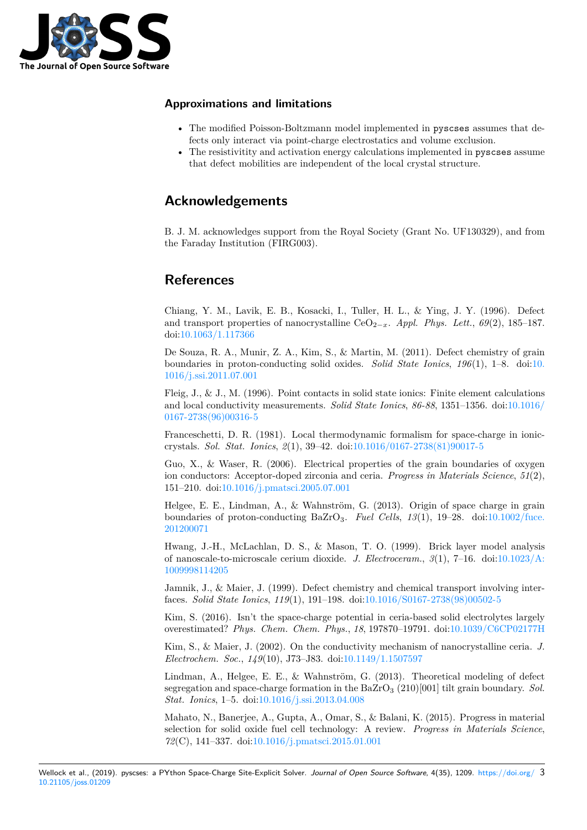

### **Approximations and limitations**

- The modified Poisson-Boltzmann model implemented in pyscses assumes that defects only interact via point-charge electrostatics and volume exclusion.
- The resistivitity and activation energy calculations implemented in pyscses assume that defect mobilities are independent of the local crystal structure.

### **Acknowledgements**

B. J. M. acknowledges support from the Royal Society (Grant No. UF130329), and from the Faraday Institution (FIRG003).

## **References**

Chiang, Y. M., Lavik, E. B., Kosacki, I., Tuller, H. L., & Ying, J. Y. (1996). Defect and transport properties of nanocrystalline CeO<sub>2−*x*</sub>. *Appl. Phys. Lett.*,  $69(2)$ , 185–187. doi:10.1063/1.117366

De Souza, R. A., Munir, Z. A., Kim, S., & Martin, M. (2011). Defect chemistry of grain boundaries in proton-conducting solid oxides. *Solid State Ionics*, *196*(1), 1–8. doi:10. 101[6/j.ssi.2011.07.001](https://doi.org/10.1063/1.117366)

Fleig, J., & J., M. (1996). Point contacts in solid state ionics: Finite element calculations and local conductivity measurements. *Solid State Ionics*, *86-88*, 1351–1356. doi:10.10[16/](https://doi.org/10.1016/j.ssi.2011.07.001) [0167-2738\(96\)00316-5](https://doi.org/10.1016/j.ssi.2011.07.001)

Franceschetti, D. R. (1981). Local thermodynamic formalism for space-charge in ioniccrystals. *Sol. Stat. Ionics*, *2*(1), 39–42. doi:10.1016/0167-2738(81)90017-5

[Guo, X., & Waser, R](https://doi.org/10.1016/0167-2738(96)00316-5). (2006). Electrical properties of the grain boundaries [of oxygen](https://doi.org/10.1016/0167-2738(96)00316-5) ion conductors: Acceptor-doped zirconia and ceria. *Progress in Materials Science*, *51*(2), 151–210. doi:10.1016/j.pmatsci.2005.07.001

Helgee, E. E., Lindman, A., & Wahnström[, G. \(2013\). Origin of space ch](https://doi.org/10.1016/0167-2738(81)90017-5)arge in grain boundaries of proton-conducting BaZrO3. *Fuel Cells*, *13*(1), 19–28. doi:10.1002/fuce. 201200071

Hwang, J.-H[., McLachlan, D. S., & Mason](https://doi.org/10.1016/j.pmatsci.2005.07.001), T. O. (1999). Brick layer model analysis of nanoscale-to-microscale cerium dioxide. *J. Electroceram.*, *3*(1), 7–16. d[oi:10.1023/A:](https://doi.org/10.1002/fuce.201200071) [1009998114](https://doi.org/10.1002/fuce.201200071)205

Jamnik, J., & Maier, J. (1999). Defect chemistry and chemical transport involving interfaces. *Solid State Ionics*, *119*(1), 191–198. doi:10.1016/S0167-2738(98)00502-5

[Kim, S. \(2016\)](https://doi.org/10.1023/A:1009998114205). Isn't the space-charge potential in ceria-based solid electrol[ytes largely](https://doi.org/10.1023/A:1009998114205) overestimated? *Phys. Chem. Chem. Phys.*, *18*, 197870–19791. doi:10.1039/C6CP02177H

Kim, S., & Maier, J. (2002). On the conducti[vity mechanism of nanocrystallin](https://doi.org/10.1016/S0167-2738(98)00502-5)e ceria. *J. Electrochem. Soc.*, *149*(10), J73–J83. doi:10.1149/1.1507597

Lindman, A., Helgee, E. E., & Wahnström, G. (2013). Theoreti[cal modeling of defect](https://doi.org/10.1039/C6CP02177H) segregation and space-charge formation in the BaZrO<sup>3</sup> (210)[001] tilt grain boundary. *Sol. Stat. Ionics*, 1–5. doi:10.1016/j.ssi.2013.0[4.008](https://doi.org/10.1149/1.1507597)

Mahato, N., Banerjee, A., Gupta, A., Omar, S., & Balani, K. (2015). Progress in material selection for solid oxide fuel cell technology: A review. *Progress in Materials Science*, *72*(C), 141–337. doi:1[0.1016/j.pmatsci.2015.01.](https://doi.org/10.1016/j.ssi.2013.04.008)001